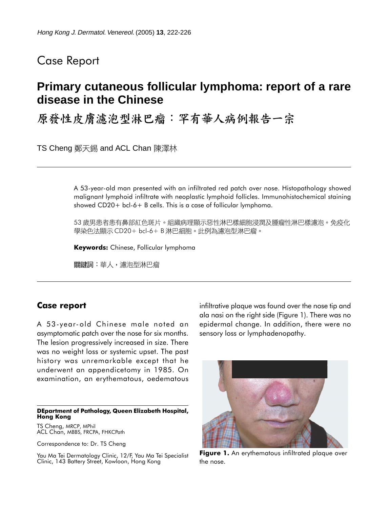## Case Report

# **Primary cutaneous follicular lymphoma: report of a rare disease in the Chinese**

原發性皮膚濾泡型淋巴瘤:罕有華人病例報告一宗

TS Cheng 鄭天錫 and ACL Chan 陳澤林

A 53-year-old man presented with an infiltrated red patch over nose. Histopathology showed malignant lymphoid infiltrate with neoplastic lymphoid follicles. Immunohistochemical staining showed CD20+ bcl-6+ B cells. This is a case of follicular lymphoma.

53 歲男患者患有鼻部紅色斑片。組織病理顯示惡性淋巴樣細胞浸潤及腫瘤性淋巴樣濾泡。免疫化 學染色法顯示 CD20+ bcl-6+ B 淋巴細胞。此例為濾泡型淋巴瘤。

**Keywords:** Chinese, Follicular lymphoma

關鍵詞:華人,濾泡型淋巴瘤

### **Case report**

A 53-year-old Chinese male noted an asymptomatic patch over the nose for six months. The lesion progressively increased in size. There was no weight loss or systemic upset. The past history was unremarkable except that he underwent an appendicetomy in 1985. On examination, an erythematous, oedematous

#### **DEpartment of Pathology, Queen Elizabeth Hospital, Hong Kong**

TS Cheng, MRCP, MPhil ACL Chan, MBBS, FRCPA, FHKCPath

Correspondence to: Dr. TS Cheng

Yau Ma Tei Dermatology Clinic, 12/F, Yau Ma Tei Specialist Clinic, 143 Battery Street, Kowloon, Hong Kong

infiltrative plaque was found over the nose tip and ala nasi on the right side (Figure 1). There was no epidermal change. In addition, there were no sensory loss or lymphadenopathy.



**Figure 1.** An erythematous infiltrated plaque over the nose.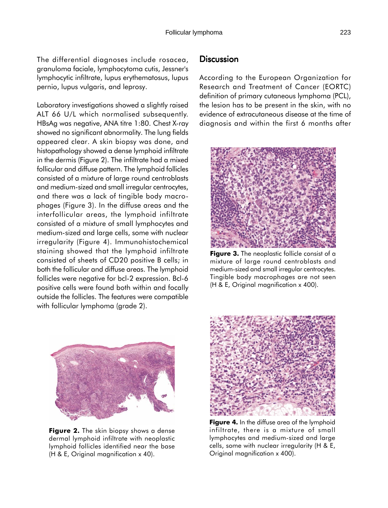The differential diagnoses include rosacea, granuloma faciale, lymphocytoma cutis, Jessner's lymphocytic infiltrate, lupus erythematosus, lupus pernio, lupus vulgaris, and leprosy.

Laboratory investigations showed a slightly raised ALT 66 U/L which normalised subsequently. HBsAg was negative, ANA titre 1:80. Chest X-ray showed no significant abnormality. The lung fields appeared clear. A skin biopsy was done, and histopathology showed a dense lymphoid infiltrate in the dermis (Figure 2). The infiltrate had a mixed follicular and diffuse pattern. The lymphoid follicles consisted of a mixture of large round centroblasts and medium-sized and small irregular centrocytes, and there was a lack of tingible body macrophages (Figure 3). In the diffuse areas and the interfollicular areas, the lymphoid infiltrate consisted of a mixture of small lymphocytes and medium-sized and large cells, some with nuclear irregularity (Figure 4). Immunohistochemical staining showed that the lymphoid infiltrate consisted of sheets of CD20 positive B cells; in both the follicular and diffuse areas. The lymphoid follicles were negative for bcl-2 expression. Bcl-6 positive cells were found both within and focally outside the follicles. The features were compatible with follicular lymphoma (grade 2).

### **Discussion**

According to the European Organization for Research and Treatment of Cancer (EORTC) definition of primary cutaneous lymphoma (PCL), the lesion has to be present in the skin, with no evidence of extracutaneous disease at the time of diagnosis and within the first 6 months after



**Figure 3.** The neoplastic follicle consist of a mixture of large round centroblasts and medium-sized and small irregular centrocytes. Tingible body macrophages are not seen (H & E, Original magnification x 400).



**Figure 2.** The skin biopsy shows a dense dermal lymphoid infiltrate with neoplastic lymphoid follicles identified near the base (H & E, Original magnification x 40).



**Figure 4.** In the diffuse area of the lymphoid infiltrate, there is a mixture of small lymphocytes and medium-sized and large cells, some with nuclear irregularity (H & E, Original magnification x 400).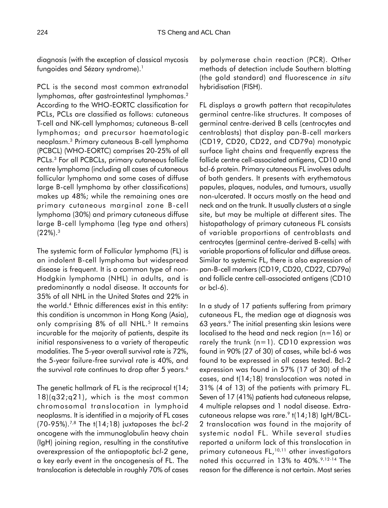diagnosis (with the exception of classical mycosis fungoides and Sézary syndrome).<sup>1</sup>

PCL is the second most common extranodal lymphomas, after gastrointestinal lymphomas.2 According to the WHO-EORTC classification for PCLs, PCLs are classified as follows: cutaneous T-cell and NK-cell lymphomas; cutaneous B-cell lymphomas; and precursor haematologic neoplasm.3 Primary cutaneous B-cell lymphoma (PCBCL) (WHO-EORTC) comprises 20-25% of all PCLs.3 For all PCBCLs, primary cutaneous follicle centre lymphoma (including all cases of cutaneous follicular lymphoma and some cases of diffuse large B-cell lymphoma by other classifications) makes up 48%; while the remaining ones are primary cutaneous marginal zone B-cell lymphoma (30%) and primary cutaneous diffuse large B-cell lymphoma (leg type and others)  $(22\%)$ .<sup>3</sup>

The systemic form of Follicular lymphoma (FL) is an indolent B-cell lymphoma but widespread disease is frequent. It is a common type of non-Hodgkin lymphoma (NHL) in adults, and is predominantly a nodal disease. It accounts for 35% of all NHL in the United States and 22% in the world.4 Ethnic differences exist in this entity: this condition is uncommon in Hong Kong (Asia), only comprising 8% of all NHL.<sup>5</sup> It remains incurable for the majority of patients, despite its initial responsiveness to a variety of therapeutic modalities. The 5-year overall survival rate is 72%, the 5-year failure-free survival rate is 40%, and the survival rate continues to drop after 5 years.<sup>6</sup>

The genetic hallmark of FL is the reciprocal t(14; 18)(q32;q21), which is the most common chromosomal translocation in lymphoid neoplasms. It is identified in a majority of FL cases (70-95%).7,8 The t(14;18) juxtaposes the *bcl-2* oncogene with the immunoglobulin heavy chain (IgH) joining region, resulting in the constitutive overexpression of the antiapoptotic *bcl-2* gene, a key early event in the oncogenesis of FL. The translocation is detectable in roughly 70% of cases by polymerase chain reaction (PCR). Other methods of detection include Southern blotting (the gold standard) and fluorescence *in situ* hybridisation (FISH).

FL displays a growth pattern that recapitulates germinal centre-like structures. It composes of germinal centre-derived B cells (centrocytes and centroblasts) that display pan-B-cell markers (CD19, CD20, CD22, and CD79a) monotypic surface light chains and frequently express the follicle centre cell-associated antigens, CD10 and bcl-6 protein. Primary cutaneous FL involves adults of both genders. It presents with erythematous papules, plaques, nodules, and tumours, usually non-ulcerated. It occurs mostly on the head and neck and on the trunk. It usually clusters at a single site, but may be multiple at different sites. The histopathology of primary cutaneous FL consists of variable proportions of centroblasts and centrocytes (germinal centre-derived B-cells) with variable proportions of follicular and diffuse areas. Similar to systemic FL, there is also expression of pan-B-cell markers (CD19, CD20, CD22, CD79a) and follicle centre cell-associated antigens (CD10 or bcl-6).

In a study of 17 patients suffering from primary cutaneous FL, the median age at diagnosis was 63 years.9 The initial presenting skin lesions were localised to the head and neck region  $(n=16)$  or rarely the trunk  $(n=1)$ . CD10 expression was found in 90% (27 of 30) of cases, while bcl-6 was found to be expressed in all cases tested. Bcl-2 expression was found in 57% (17 of 30) of the cases, and t(14;18) translocation was noted in 31% (4 of 13) of the patients with primary FL. Seven of 17 (41%) patients had cutaneous relapse, 4 multiple relapses and 1 nodal disease. Extracutaneous relapse was rare.<sup>9</sup> t(14;18) IgH/BCL-2 translocation was found in the majority of systemic nodal FL. While several studies reported a uniform lack of this translocation in primary cutaneous FL,<sup>10,11</sup> other investigators noted this occurred in 13% to 40%.9,12-14 The reason for the difference is not certain. Most series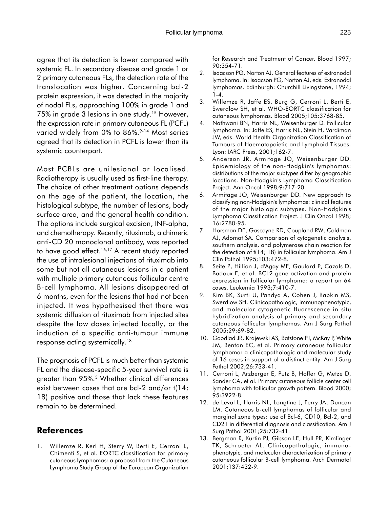agree that its detection is lower compared with systemic FL. In secondary disease and grade 1 or 2 primary cutaneous FLs, the detection rate of the translocation was higher. Concerning bcl-2 protein expression, it was detected in the majority of nodal FLs, approaching 100% in grade 1 and 75% in grade 3 lesions in one study.15 However, the expression rate in primary cutaneous FL (PCFL) varied widely from 0% to 86%.<sup>9-14</sup> Most series agreed that its detection in PCFL is lower than its systemic counterpart.

Most PCBLs are unilesional or localised. Radiotherapy is usually used as first-line therapy. The choice of other treatment options depends on the age of the patient, the location, the histological subtype, the number of lesions, body surface area, and the general health condition. The options include surgical excision, INF-alpha, and chemotherapy. Recently, rituximab, a chimeric anti-CD 20 monoclonal antibody, was reported to have good effect.<sup>16,17</sup> A recent study reported the use of intralesional injections of rituximab into some but not all cutaneous lesions in a patient with multiple primary cutaneous follicular centre B-cell lymphoma. All lesions disappeared at 6 months, even for the lesions that had not been injected. It was hypothesised that there was systemic diffusion of rituximab from injected sites despite the low doses injected locally, or the induction of a specific anti-tumour immune response acting systemically.18

The prognosis of PCFL is much better than systemic FL and the disease-specific 5-year survival rate is greater than 95%.3 Whether clinical differences exist between cases that are bcl-2 and/or t(14; 18) positive and those that lack these features remain to be determined.

### **References**

1. Willemze R, Kerl H, Sterry W, Berti E, Cerroni L, Chimenti S, et al. EORTC classification for primary cutaneous lymphomas: a proposal from the Cutaneous Lymphoma Study Group of the European Organization for Research and Treatment of Cancer. Blood 1997; 90:354-71.

- 2. Isaacson PG, Norton AJ. General features of extranodal lymphoma. In: Isaacson PG, Norton AJ, eds. Extranodal lymphomas. Edinburgh: Churchill Livingstone, 1994; 1-4.
- 3. Willemze R, Jaffe ES, Burg G, Cerroni L, Berti E, Swerdlow SH, et al. WHO-EORTC classification for cutaneous lymphomas. Blood 2005;105:3768-85.
- 4. Nathwani BN, Harris NL, Weisenburger D. Follicular lymphoma. In: Jaffe ES, Harris NL, Stein H, Vardiman JW, eds. World Health Organization Classification of Tumours of Haematopoietic and Lymphoid Tissues. Lyon: IARC Press, 2001;162-7.
- 5. Anderson JR, Armitage JO, Weisenburger DD. Epidemiology of the non-Hodgkin's lymphomas: distributions of the major subtypes differ by geographic locations. Non-Hodgkin's Lymphoma Classification Project. Ann Oncol 1998;9:717-20.
- 6. Armitage JO, Weisenburger DD. New approach to classifying non-Hodgkin's lymphomas: clinical features of the major histologic subtypes. Non-Hodgkin's Lymphoma Classification Project. J Clin Oncol 1998; 16:2780-95.
- 7. Horsman DE, Gascoyne RD, Coupland RW, Coldman AJ, Adomat SA. Comparison of cytogenetic analysis, southern analysis, and polymerase chain reaction for the detection of t(14; 18) in follicular lymphoma. Am J Clin Pathol 1995;103:472-8.
- 8. Seite P, Hillion J, d'Agay MF, Gaulard P, Cazals D, Badoux F, et al. BCL2 gene activation and protein expression in follicular lymphoma: a report on 64 cases. Leukemia 1993;7:410-7.
- 9. Kim BK, Surti U, Pandya A, Cohen J, Rabkin MS, Swerdlow SH. Clinicopathologic, immunophenotypic, and molecular cytogenetic fluorescence in situ hybridization analysis of primary and secondary cutaneous follicular lymphomas. Am J Surg Pathol 2005;29:69-82.
- 10. Goodlad JR, Krajewski AS, Batstone PJ, McKay P, White JM, Benton EC, et al. Primary cutaneous follicular lymphoma: a clinicopathologic and molecular study of 16 cases in support of a distinct entity. Am J Surg Pathol 2002;26:733-41.
- 11. Cerroni L, Arzberger E, Putz B, Hofler G, Metze D, Sander CA, et al. Primary cutaneous follicle center cell lymphoma with follicular growth pattern. Blood 2000; 95:3922-8.
- 12. de Leval L, Harris NL, Longtine J, Ferry JA, Duncan LM. Cutaneous b-cell lymphomas of follicular and marginal zone types: use of Bcl-6, CD10, Bcl-2, and CD21 in differential diagnosis and classification. Am J Surg Pathol 2001;25:732-41.
- 13. Bergman R, Kurtin PJ, Gibson LE, Hull PR, Kimlinger TK, Schroeter AL. Clinicopathologic, immunophenotypic, and molecular characterization of primary cutaneous follicular B-cell lymphoma. Arch Dermatol 2001;137:432-9.